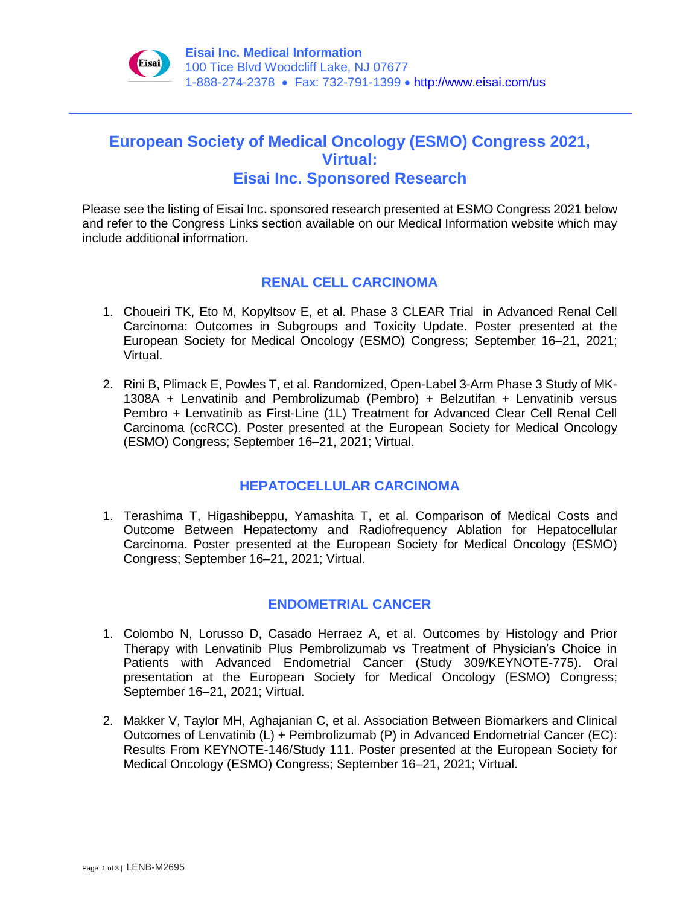

# **European Society of Medical Oncology (ESMO) Congress 2021, Virtual: Eisai Inc. Sponsored Research**

Please see the listing of Eisai Inc. sponsored research presented at ESMO Congress 2021 below and refer to the Congress Links section available on our Medical Information website which may include additional information.

## **RENAL CELL CARCINOMA**

- 1. Choueiri TK, Eto M, Kopyltsov E, et al. Phase 3 CLEAR Trial in Advanced Renal Cell Carcinoma: Outcomes in Subgroups and Toxicity Update. Poster presented at the European Society for Medical Oncology (ESMO) Congress; September 16–21, 2021; Virtual.
- 2. Rini B, Plimack E, Powles T, et al. Randomized, Open-Label 3-Arm Phase 3 Study of MK-1308A + Lenvatinib and Pembrolizumab (Pembro) + Belzutifan + Lenvatinib versus Pembro + Lenvatinib as First-Line (1L) Treatment for Advanced Clear Cell Renal Cell Carcinoma (ccRCC). Poster presented at the European Society for Medical Oncology (ESMO) Congress; September 16–21, 2021; Virtual.

## **HEPATOCELLULAR CARCINOMA**

1. Terashima T, Higashibeppu, Yamashita T, et al. Comparison of Medical Costs and Outcome Between Hepatectomy and Radiofrequency Ablation for Hepatocellular Carcinoma. Poster presented at the European Society for Medical Oncology (ESMO) Congress; September 16–21, 2021; Virtual.

## **ENDOMETRIAL CANCER**

- 1. Colombo N, Lorusso D, Casado Herraez A, et al. Outcomes by Histology and Prior Therapy with Lenvatinib Plus Pembrolizumab vs Treatment of Physician's Choice in Patients with Advanced Endometrial Cancer (Study 309/KEYNOTE-775). Oral presentation at the European Society for Medical Oncology (ESMO) Congress; September 16–21, 2021; Virtual.
- 2. Makker V, Taylor MH, Aghajanian C, et al. Association Between Biomarkers and Clinical Outcomes of Lenvatinib (L) + Pembrolizumab (P) in Advanced Endometrial Cancer (EC): Results From KEYNOTE-146/Study 111. Poster presented at the European Society for Medical Oncology (ESMO) Congress; September 16–21, 2021; Virtual.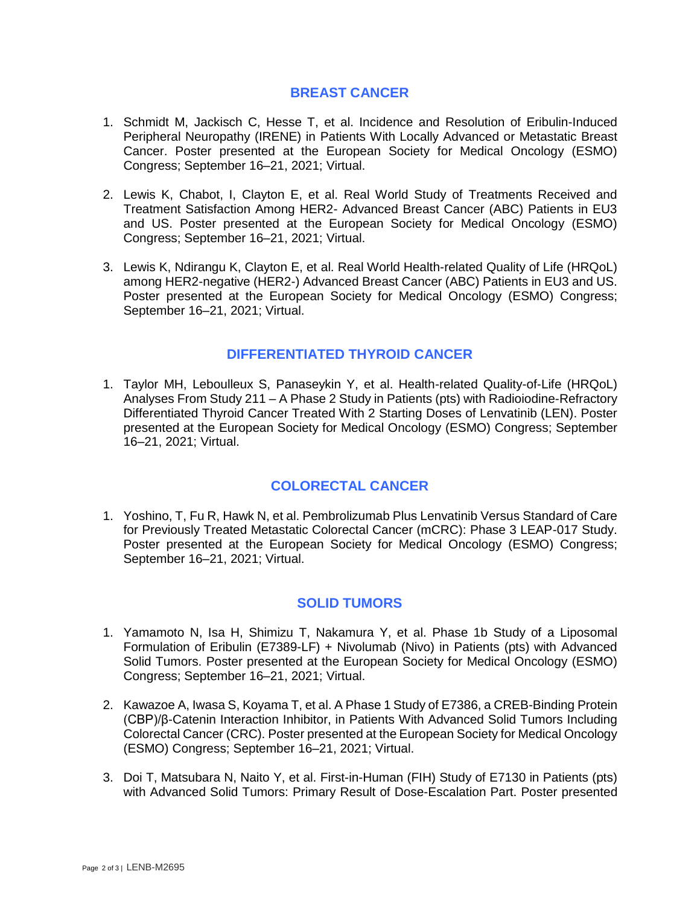#### **BREAST CANCER**

- 1. Schmidt M, Jackisch C, Hesse T, et al. Incidence and Resolution of Eribulin-Induced Peripheral Neuropathy (IRENE) in Patients With Locally Advanced or Metastatic Breast Cancer. Poster presented at the European Society for Medical Oncology (ESMO) Congress; September 16–21, 2021; Virtual.
- 2. Lewis K, Chabot, I, Clayton E, et al. Real World Study of Treatments Received and Treatment Satisfaction Among HER2- Advanced Breast Cancer (ABC) Patients in EU3 and US. Poster presented at the European Society for Medical Oncology (ESMO) Congress; September 16–21, 2021; Virtual.
- 3. Lewis K, Ndirangu K, Clayton E, et al. Real World Health-related Quality of Life (HRQoL) among HER2-negative (HER2-) Advanced Breast Cancer (ABC) Patients in EU3 and US. Poster presented at the European Society for Medical Oncology (ESMO) Congress; September 16–21, 2021; Virtual.

## **DIFFERENTIATED THYROID CANCER**

1. Taylor MH, Leboulleux S, Panaseykin Y, et al. Health-related Quality-of-Life (HRQoL) Analyses From Study 211 – A Phase 2 Study in Patients (pts) with Radioiodine-Refractory Differentiated Thyroid Cancer Treated With 2 Starting Doses of Lenvatinib (LEN). Poster presented at the European Society for Medical Oncology (ESMO) Congress; September 16–21, 2021; Virtual.

## **COLORECTAL CANCER**

1. Yoshino, T, Fu R, Hawk N, et al. Pembrolizumab Plus Lenvatinib Versus Standard of Care for Previously Treated Metastatic Colorectal Cancer (mCRC): Phase 3 LEAP-017 Study. Poster presented at the European Society for Medical Oncology (ESMO) Congress; September 16–21, 2021; Virtual.

#### **SOLID TUMORS**

- 1. Yamamoto N, Isa H, Shimizu T, Nakamura Y, et al. Phase 1b Study of a Liposomal Formulation of Eribulin (E7389-LF) + Nivolumab (Nivo) in Patients (pts) with Advanced Solid Tumors. Poster presented at the European Society for Medical Oncology (ESMO) Congress; September 16–21, 2021; Virtual.
- 2. Kawazoe A, Iwasa S, Koyama T, et al. A Phase 1 Study of E7386, a CREB-Binding Protein (CBP)/β-Catenin Interaction Inhibitor, in Patients With Advanced Solid Tumors Including Colorectal Cancer (CRC). Poster presented at the European Society for Medical Oncology (ESMO) Congress; September 16–21, 2021; Virtual.
- 3. Doi T, Matsubara N, Naito Y, et al. First-in-Human (FIH) Study of E7130 in Patients (pts) with Advanced Solid Tumors: Primary Result of Dose-Escalation Part. Poster presented